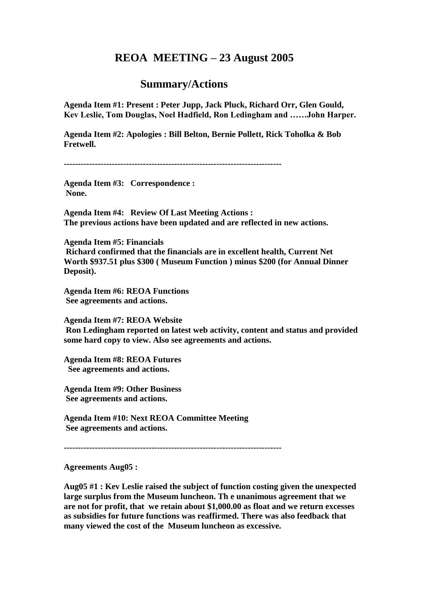## **REOA MEETING – 23 August 2005**

## **Summary/Actions**

**Agenda Item #1: Present : Peter Jupp, Jack Pluck, Richard Orr, Glen Gould, Kev Leslie, Tom Douglas, Noel Hadfield, Ron Ledingham and ……John Harper.**

**Agenda Item #2: Apologies : Bill Belton, Bernie Pollett, Rick Toholka & Bob Fretwell.**

**-----------------------------------------------------------------------------**

**Agenda Item #3: Correspondence : None.**

**Agenda Item #4: Review Of Last Meeting Actions : The previous actions have been updated and are reflected in new actions.**

**Agenda Item #5: Financials Richard confirmed that the financials are in excellent health, Current Net Worth \$937.51 plus \$300 ( Museum Function ) minus \$200 (for Annual Dinner Deposit).**

**Agenda Item #6: REOA Functions See agreements and actions.**

**Agenda Item #7: REOA Website Ron Ledingham reported on latest web activity, content and status and provided some hard copy to view. Also see agreements and actions.**

**Agenda Item #8: REOA Futures See agreements and actions.**

**Agenda Item #9: Other Business See agreements and actions.**

**Agenda Item #10: Next REOA Committee Meeting See agreements and actions.**

**-----------------------------------------------------------------------------**

**Agreements Aug05 :**

**Aug05 #1 : Kev Leslie raised the subject of function costing given the unexpected large surplus from the Museum luncheon. Th e unanimous agreement that we are not for profit, that we retain about \$1,000.00 as float and we return excesses as subsidies for future functions was reaffirmed. There was also feedback that many viewed the cost of the Museum luncheon as excessive.**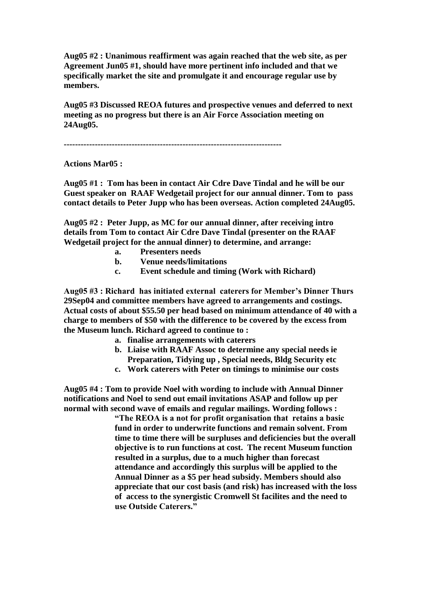**Aug05 #2 : Unanimous reaffirment was again reached that the web site, as per Agreement Jun05 #1, should have more pertinent info included and that we specifically market the site and promulgate it and encourage regular use by members.**

**Aug05 #3 Discussed REOA futures and prospective venues and deferred to next meeting as no progress but there is an Air Force Association meeting on 24Aug05.**

**-----------------------------------------------------------------------------**

**Actions Mar05 :**

**Aug05 #1 : Tom has been in contact Air Cdre Dave Tindal and he will be our Guest speaker on RAAF Wedgetail project for our annual dinner. Tom to pass contact details to Peter Jupp who has been overseas. Action completed 24Aug05.**

**Aug05 #2 : Peter Jupp, as MC for our annual dinner, after receiving intro details from Tom to contact Air Cdre Dave Tindal (presenter on the RAAF Wedgetail project for the annual dinner) to determine, and arrange:**

- **a. Presenters needs**
- **b. Venue needs/limitations**
- **c. Event schedule and timing (Work with Richard)**

**Aug05 #3 : Richard has initiated external caterers for Member's Dinner Thurs 29Sep04 and committee members have agreed to arrangements and costings. Actual costs of about \$55.50 per head based on minimum attendance of 40 with a charge to members of \$50 with the difference to be covered by the excess from the Museum lunch. Richard agreed to continue to :**

- **a. finalise arrangements with caterers**
- **b. Liaise with RAAF Assoc to determine any special needs ie Preparation, Tidying up , Special needs, Bldg Security etc**
- **c. Work caterers with Peter on timings to minimise our costs**

**Aug05 #4 : Tom to provide Noel with wording to include with Annual Dinner notifications and Noel to send out email invitations ASAP and follow up per normal with second wave of emails and regular mailings. Wording follows :**

**"The REOA is a not for profit organisation that retains a basic fund in order to underwrite functions and remain solvent. From time to time there will be surpluses and deficiencies but the overall objective is to run functions at cost. The recent Museum function resulted in a surplus, due to a much higher than forecast attendance and accordingly this surplus will be applied to the Annual Dinner as a \$5 per head subsidy. Members should also appreciate that our cost basis (and risk) has increased with the loss of access to the synergistic Cromwell St facilites and the need to use Outside Caterers."**